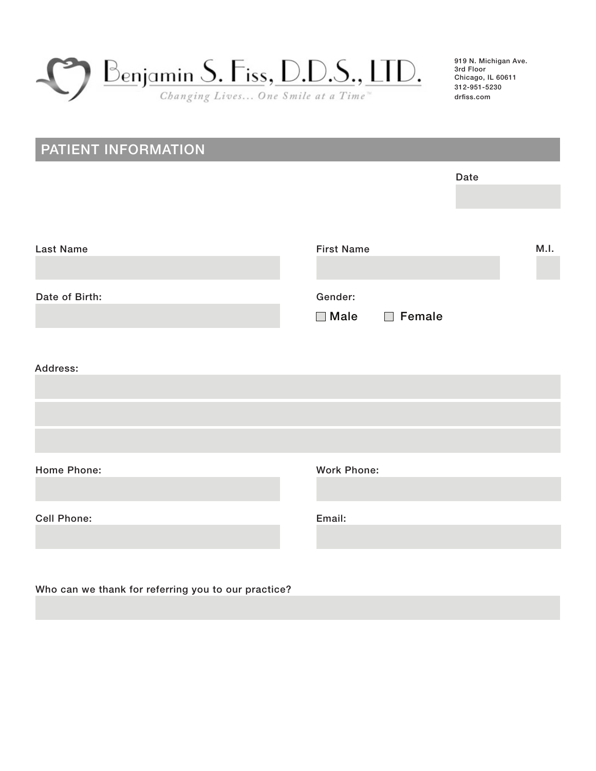

## PATIENT INFORMATION

|                    |                                                      | Date |
|--------------------|------------------------------------------------------|------|
|                    |                                                      |      |
|                    |                                                      |      |
|                    |                                                      |      |
| <b>Last Name</b>   | <b>First Name</b>                                    | M.I. |
|                    |                                                      |      |
| Date of Birth:     | Gender:                                              |      |
|                    | Female<br>$\Box$ Male<br>$\mathcal{L}^{\mathcal{A}}$ |      |
|                    |                                                      |      |
|                    |                                                      |      |
| Address:           |                                                      |      |
|                    |                                                      |      |
|                    |                                                      |      |
|                    |                                                      |      |
|                    |                                                      |      |
|                    |                                                      |      |
| Home Phone:        | <b>Work Phone:</b>                                   |      |
|                    |                                                      |      |
| <b>Cell Phone:</b> | Email:                                               |      |
|                    |                                                      |      |
|                    |                                                      |      |
|                    |                                                      |      |

Who can we thank for referring you to our practice?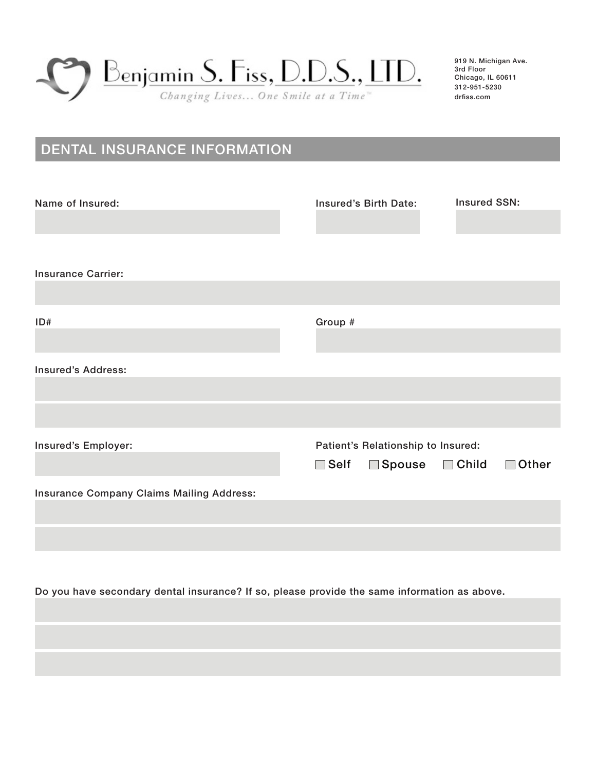

# DENTAL INSURANCE INFORMATION

| Name of Insured:                          | Insured's Birth Date:<br><b>Insured SSN:</b>                                                          |
|-------------------------------------------|-------------------------------------------------------------------------------------------------------|
| <b>Insurance Carrier:</b>                 |                                                                                                       |
| ID#                                       | Group #                                                                                               |
| <b>Insured's Address:</b>                 |                                                                                                       |
|                                           |                                                                                                       |
| Insured's Employer:                       | Patient's Relationship to Insured:<br>$\square$ Self<br>$\Box$ Child<br>$\Box$ Spouse<br>$\Box$ Other |
| Insurance Company Claims Mailing Address: |                                                                                                       |
|                                           |                                                                                                       |
|                                           |                                                                                                       |

Do you have secondary dental insurance? If so, please provide the same information as above.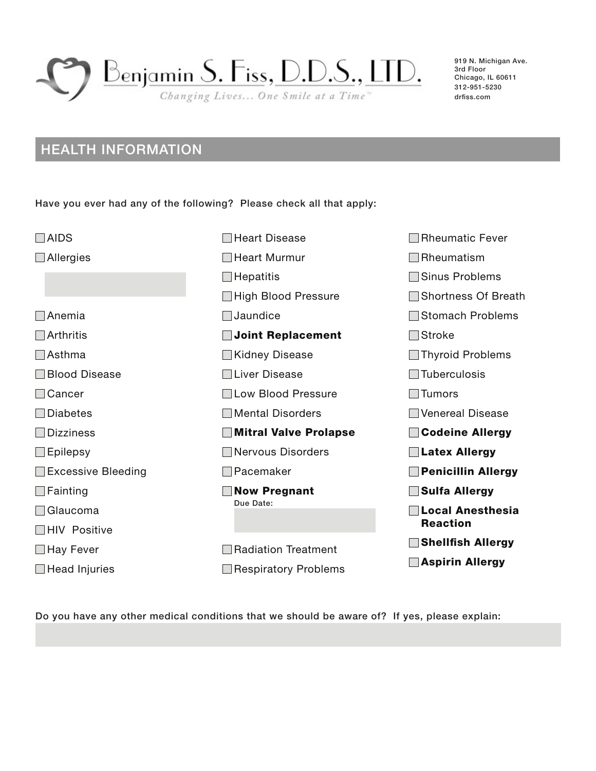

## HEALTH INFORMATION

Have you ever had any of the following? Please check all that apply:

| <b>AIDS</b>               | <b>Heart Disease</b>         | <b>Rheumatic Fever</b>          |
|---------------------------|------------------------------|---------------------------------|
| Allergies                 | <b>Heart Murmur</b>          | Rheumatism                      |
|                           | Hepatitis                    | Sinus Problems                  |
|                           | <b>High Blood Pressure</b>   | <b>Shortness Of Breath</b>      |
| Anemia                    | Jaundice                     | <b>Stomach Problems</b>         |
| Arthritis                 | <b>Joint Replacement</b>     | <b>Stroke</b><br>$\mathbb{R}^n$ |
| Asthma                    | <b>Kidney Disease</b>        | ∐ Thyroid Problems              |
| <b>Blood Disease</b>      | □Liver Disease               | <b>Tuberculosis</b>             |
| Cancer                    | <b>ILow Blood Pressure</b>   | Tumors                          |
| <b>Diabetes</b>           | <b>Mental Disorders</b>      | <b>Venereal Disease</b>         |
| <b>Dizziness</b>          | <b>Mitral Valve Prolapse</b> | <b>Codeine Allergy</b>          |
| Epilepsy                  | <b>Nervous Disorders</b>     | <b>Latex Allergy</b>            |
| <b>Excessive Bleeding</b> | Pacemaker                    | <b>Penicillin Allergy</b>       |
| Fainting                  | <b>Now Pregnant</b>          | <b>Sulfa Allergy</b>            |
| Glaucoma                  | Due Date:                    | <b>Local Anesthesia</b>         |
| <b>HIV Positive</b>       |                              | <b>Reaction</b>                 |
| _l Hay Fever              | <b>Radiation Treatment</b>   | <b>Shellfish Allergy</b>        |
| $\Box$ Head Injuries      | <b>Respiratory Problems</b>  | <b>Aspirin Allergy</b>          |

Do you have any other medical conditions that we should be aware of? If yes, please explain: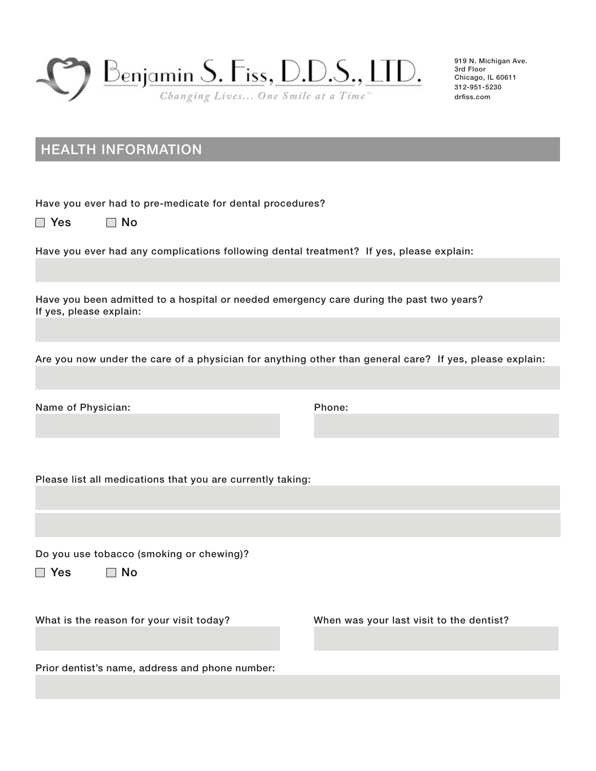

## HEALTH INFORMATION

Have you ever had to pre-medicate for dental procedures?

 $\Box$  Yes  $\Box$  No

Have you ever had any complications following dental treatment? If yes, please explain:

Have you been admitted to a hospital or needed emergency care during the past two years? If yes, please explain:

Are you now under the care of a physician for anything other than general care? If yes, please explain:

Name of Physician:

Phone:

Please list all medications that you are currently taking:

Do you use tobacco (smoking or chewing)?

 $\Box$  Yes  $\Box$  No

What is the reason for your visit today? When was your last visit to the dentist?

Prior dentist's name, address and phone number: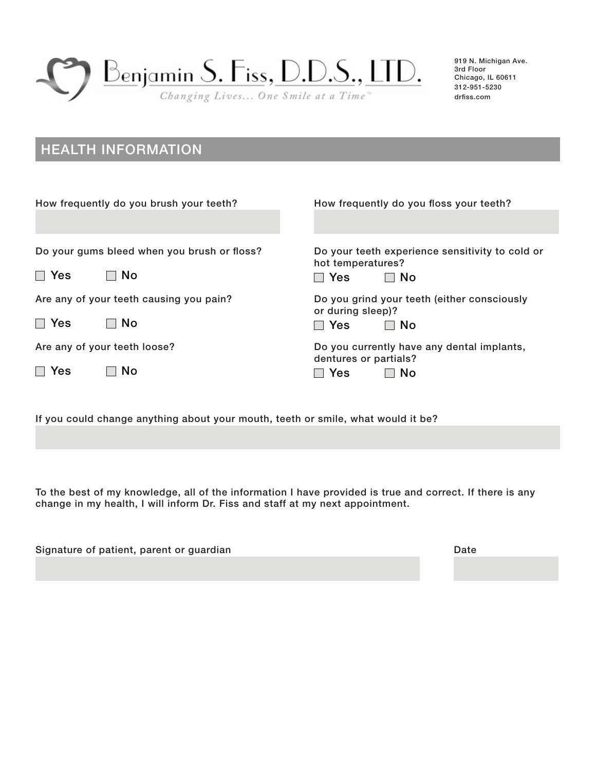

## HEALTH INFORMATION

| How frequently do you brush your teeth?     | How frequently do you floss your teeth?                              |
|---------------------------------------------|----------------------------------------------------------------------|
|                                             |                                                                      |
| Do your gums bleed when you brush or floss? | Do your teeth experience sensitivity to cold or<br>hot temperatures? |
| $\Box$ Yes<br><b>No</b>                     | <b>Yes</b><br>l I No                                                 |
| Are any of your teeth causing you pain?     | Do you grind your teeth (either consciously<br>or during sleep)?     |
| $\Box$ Yes<br><b>No</b>                     | <b>Yes</b><br>⊟ No                                                   |
| Are any of your teeth loose?                | Do you currently have any dental implants,<br>dentures or partials?  |
| Yes<br>NΟ                                   | <b>No</b><br>Yes                                                     |

If you could change anything about your mouth, teeth or smile, what would it be?

To the best of my knowledge, all of the information I have provided is true and correct. If there is any change in my health, I will inform Dr. Fiss and staff at my next appointment.

| Signature of patient, parent or guardian | Date |
|------------------------------------------|------|
|                                          |      |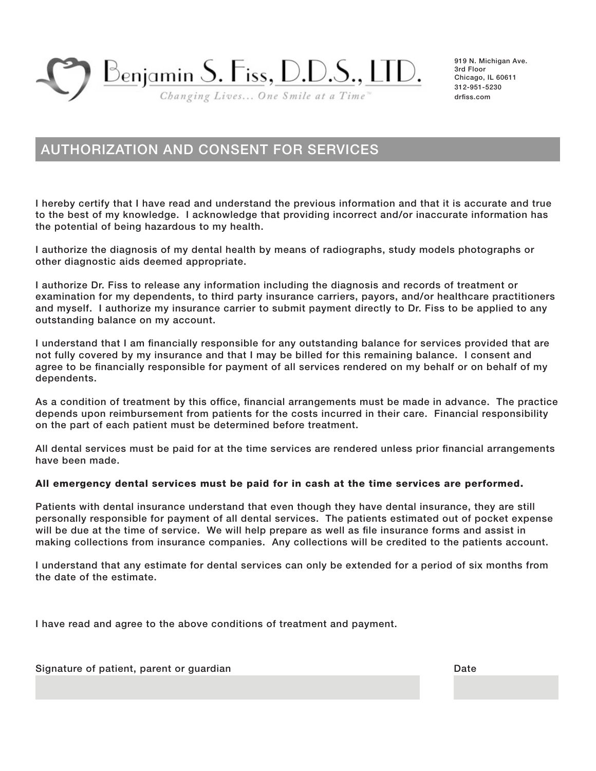Benjamin S. Fiss, D.D.S., LTD.

Changing Lives... One Smile at a Time"

919 N. Michigan Ave. 3rd Floor Chicago, IL 60611 312-951-5230 drfiss.com

### AUTHORIZATION AND CONSENT FOR SERVICES

I hereby certify that I have read and understand the previous information and that it is accurate and true to the best of my knowledge. I acknowledge that providing incorrect and/or inaccurate information has the potential of being hazardous to my health.

I authorize the diagnosis of my dental health by means of radiographs, study models photographs or other diagnostic aids deemed appropriate.

I authorize Dr. Fiss to release any information including the diagnosis and records of treatment or examination for my dependents, to third party insurance carriers, payors, and/or healthcare practitioners and myself. I authorize my insurance carrier to submit payment directly to Dr. Fiss to be applied to any outstanding balance on my account.

I understand that I am financially responsible for any outstanding balance for services provided that are not fully covered by my insurance and that I may be billed for this remaining balance. I consent and agree to be financially responsible for payment of all services rendered on my behalf or on behalf of my dependents.

As a condition of treatment by this office, financial arrangements must be made in advance. The practice depends upon reimbursement from patients for the costs incurred in their care. Financial responsibility on the part of each patient must be determined before treatment.

All dental services must be paid for at the time services are rendered unless prior financial arrangements have been made.

#### All emergency dental services must be paid for in cash at the time services are performed.

Patients with dental insurance understand that even though they have dental insurance, they are still personally responsible for payment of all dental services. The patients estimated out of pocket expense will be due at the time of service. We will help prepare as well as file insurance forms and assist in making collections from insurance companies. Any collections will be credited to the patients account.

I understand that any estimate for dental services can only be extended for a period of six months from the date of the estimate.

I have read and agree to the above conditions of treatment and payment.

Signature of patient, parent or guardian Date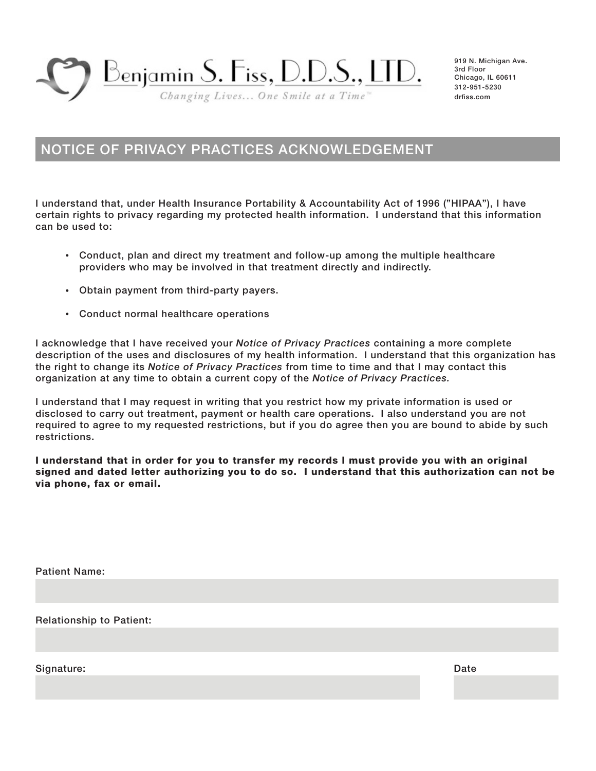<u> Benjamin S. Fiss, D.D.S., LTD.</u>

Changing Lives... One Smile at a Time"

919 N. Michigan Ave. 3rd Floor Chicago, IL 60611 312-951-5230 drfiss.com

#### NOTICE OF PRIVACY PRACTICES ACKNOWLEDGEMENT

I understand that, under Health Insurance Portability & Accountability Act of 1996 ("HIPAA"), I have certain rights to privacy regarding my protected health information. I understand that this information can be used to:

- Conduct, plan and direct my treatment and follow-up among the multiple healthcare providers who may be involved in that treatment directly and indirectly.
- Obtain payment from third-party payers.
- Conduct normal healthcare operations

I acknowledge that I have received your *Notice of Privacy Practices* containing a more complete description of the uses and disclosures of my health information. I understand that this organization has the right to change its *Notice of Privacy Practices* from time to time and that I may contact this organization at any time to obtain a current copy of the *Notice of Privacy Practices.*

I understand that I may request in writing that you restrict how my private information is used or disclosed to carry out treatment, payment or health care operations. I also understand you are not required to agree to my requested restrictions, but if you do agree then you are bound to abide by such restrictions.

I understand that in order for you to transfer my records I must provide you with an original signed and dated letter authorizing you to do so. I understand that this authorization can not be via phone, fax or email.

Patient Name:

Relationship to Patient:

Signature:

Date